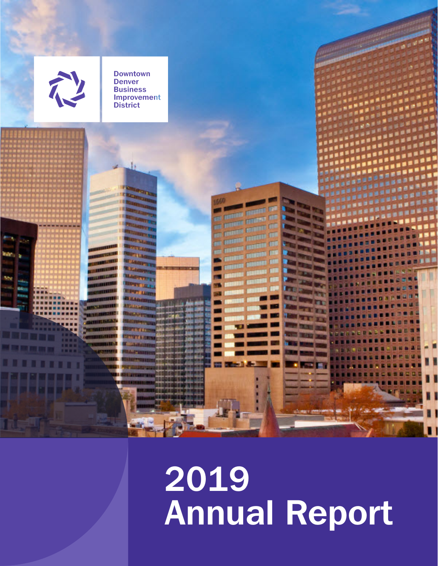

**2009 Annual Report** *Downtown Denver Business Improvement District* 

# **2019 Annual Report**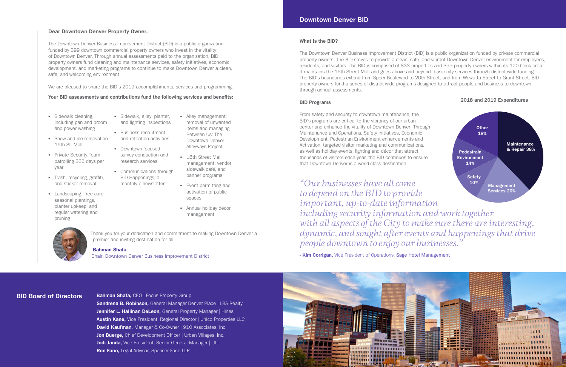



# **Downtown Denver BID**

# **What is the BID?**

The Downtown Denver Business Improvement District (BID) is a public organization funded by private commercial property owners. The BID strives to provide a clean, safe, and vibrant Downtown Denver environment for employees, residents, and visitors. The BID is comprised of 833 properties and 399 property owners within its 120-block area. It maintains the 16th Street Mall and goes above and beyond basic city services through district-wide funding. The BID's boundaries extend from Speer Boulevard to 20th Street, and from Wewatta Street to Grant Street. BID property owners fund a series of district-wide programs designed to attract people and business to downtown through annual assessments.

# **BID Programs**

From safety and security to downtown maintenance, the BID's programs are critical to the vibrancy of our urban center and enhance the vitality of Downtown Denver. Through Maintenance and Operations, Safety initiatives, Economic Development, Pedestrian Environment enhancements and Activation, targeted visitor marketing and communications, as well as holiday events, lighting and décor that attract thousands of visitors each year, the BID continues to ensure that Downtown Denver is a world-class destination.

# **2018 and 2019 Expenditures**

# **Dear Downtown Denver Property Owner,**

- Sidewalk cleaning, including pan and broom and power washing
- Snow and ice removal on 16th St. Mall
- Private Security Team patrolling 365 days per year
- Trash, recycling, graffiti, and sticker removal
- Landscaping: Tree care, seasonal plantings, planter upkeep, and regular watering and pruning

The Downtown Denver Business Improvement District (BID) is a public organization funded by 399 downtown commercial property owners who invest in the vitality of Downtown Denver. Through annual assessments paid to the organization, BID property owners fund cleaning and maintenance services, safety initiatives, economic development, and marketing programs to continue to make Downtown Denver a clean, safe, and welcoming environment.

> • Alley management: removal of unwanted items and managing Between Us: The Downtown Denver Alleyways Project

We are pleased to share the BID's 2019 accomplishments, services and programming.

**Your BID assessments and contributions fund the following services and benefits:**

Thank you for your dedication and commitment to making Downtown Denver a premier and inviting destination for all.

# **Bahman Shafa**

Chair, Downtown Denver Business Improvement District

**BID Board of Directors Bahman Shafa, CEO | Focus Property Group** 

**Sandrena B. Robinson,** General Manager Denver Place | LBA Realty **Jennifer L. Hallinan DeLeon, General Property Manager | Hines Austin Kane,** Vice President, Regional Director | Unico Properties LLC **David Kaufman,** Manager & Co-Owner | 910 Associates, Inc. **Jon Buerge,** Chief Development Officer | Urban Villages, Inc. **Jodi Janda,** Vice President, Senior General Manager | JLL **Ron Fano,** Legal Advisor, Spencer Fane LLP

- Sidewalk, alley, planter, and lighting inspections
- Business recruitment and retention activities
- Downtown-focused survey conduction and research services
- Communications through BID Happenings, a monthly e-newsletter
- 16th Street Mall management: vendor, sidewalk café, and banner programs
	- Event permitting and activation of public spaces

• Annual holiday décor management



*"Our businesses have all come to depend on the BID to provide important, up-to-date information including security information and work together dynamic, and sought after events and happenings that drive people downtown to enjoy our businesses."*

**- Kim Corrigan,** Vice President of Operations, Sage Hotel Management